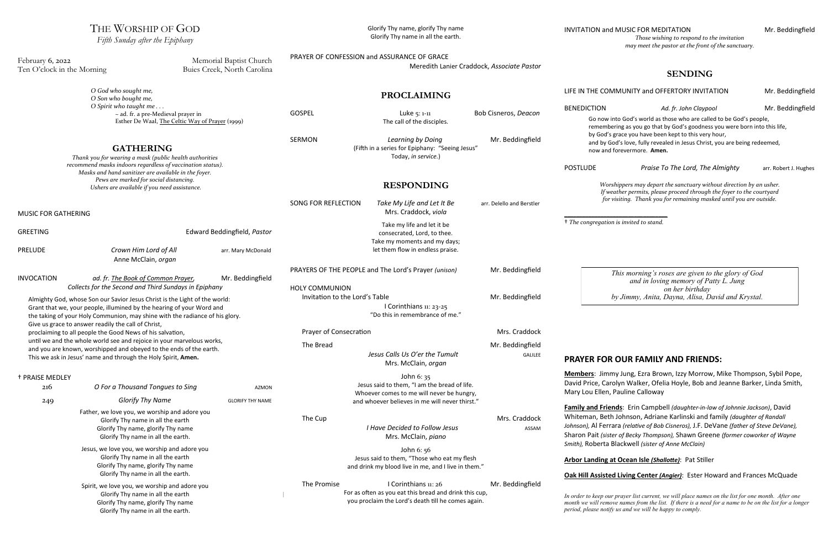Glorify Thy name, glorify Thy name Glorify Thy name in all the earth.

INVITATION and MUSIC FOR MEDITATION MELLET MESSENGER MEDITATION

# THE WORSHIP OF GOD

*Fifth Sunday after the Epiphany*

PRAYER OF CONFESSION and ASSURANCE OF GRACE Meredith Lanier Craddock, *Associate Pastor* **PROCLAIMING** GOSPEL Luke 5: 1-11 Bob Cisneros, *Deacon* The call of the disciples. **SERMON** *Learning by Doing* Mr. Beddingfield (Fifth in a series for Epiphany: "Seeing Jesus" Today, *in service.*) **RESPONDING** SONG FOR REFLECTION Take My Life and Let It Be arr. Delello and Berstler Mrs. Craddock, *viola* Take my life and let it be consecrated, Lord, to thee. Take my moments and my days; let them flow in endless praise. PRAYERS OF THE PEOPLE and The Lord's Prayer *(unison)* Mr. Beddingfield HOLY COMMUNION Invitation to the Lord's Table Mr. Beddingfield I Corinthians 11: 23-25 "Do this in remembrance of me." Prayer of Consecration and Mrs. Craddock The Bread Mr. Beddingfield *Jesus Calls Us O'er the Tumult* **GALILEE** Mrs. McClain, *organ* John 6: 35 Jesus said to them, "I am the bread of life. Whoever comes to me will never be hungry, and whoever believes in me will never thirst." The Cup **Mrs. Craddock** *I Have Decided to Follow Jesus* ASSAM Mrs. McClain, *piano* John 6: 56 Jesus said to them, "Those who eat my flesh and drink my blood live in me, and I live in them." The Promise I Corinthians 1: 26 Mr. Beddingfield For as often as you eat this bread and drink this cup, you proclaim the Lord's death till he comes again. February 6, 2022 Memorial Baptist Church Ten O'clock in the Morning Buies Creek, North Carolina *O God who sought me, O Son who bought me, O Spirit who taught me . . .* ~ ad. fr. a pre-Medieval prayer in Esther De Waal, The Celtic Way of Prayer (1999) **GATHERING** *Thank you for wearing a mask (public health authorities recommend masks indoors regardless of vaccination status). Masks and hand sanitizer are available in the foyer. Pews are marked for social distancing. Ushers are available if you need assistance.* MUSIC FOR GATHERING GREETING Edward Beddingfield, *Pastor* PRELUDE *Crown Him Lord of All* arr. Mary McDonald Anne McClain, *organ* INVOCATION *ad. fr. The Book of Common Prayer,* Mr. Beddingfield *Collects for the Second and Third Sundays in Epiphany* Almighty God, whose Son our Savior Jesus Christ is the Light of the world: Grant that we, your people, illumined by the hearing of your Word and the taking of your Holy Communion, may shine with the radiance of his glory. Give us grace to answer readily the call of Christ, proclaiming to all people the Good News of his salvation, until we and the whole world see and rejoice in your marvelous works, and you are known, worshipped and obeyed to the ends of the earth. This we ask in Jesus' name and through the Holy Spirit, **Amen.** † PRAISE MEDLEY 216 *O For a Thousand Tongues to Sing* AZMON 249 *Glorify Thy Name* GLORIFY THY NAME Father, we love you, we worship and adore you Glorify Thy name in all the earth Glorify Thy name, glorify Thy name Glorify Thy name in all the earth. Jesus, we love you, we worship and adore you Glorify Thy name in all the earth Glorify Thy name, glorify Thy name Glorify Thy name in all the earth. Spirit, we love you, we worship and adore you Glorify Thy name in all the earth Glorify Thy name, glorify Thy name Glorify Thy name in all the earth. l *may meet the pastor at the front of the sanctuary.* **SENDING** LIFE IN THE COMMUNITY and OFFERTORY INVITATION Mr. Beddingfield BENEDICTION *Ad. fr. John Claypool* Mr. Beddingfield Go now into God's world as those who are called to be God's people, remembering as you go that by God's goodness you were born into this life, by God's grace you have been kept to this very hour, and by God's love, fully revealed in Jesus Christ, you are being redeemed, now and forevermore. **Amen.** POSTLUDE *Praise To The Lord, The Almighty* arr. Robert J. Hughes *Worshippers may depart the sanctuary without direction by an usher. If weather permits, please proceed through the foyer to the courtyard for visiting. Thank you for remaining masked until you are outside.* \_\_\_\_\_\_\_\_\_\_\_\_\_\_\_\_\_\_\_\_\_\_\_\_\_\_\_\_\_\_\_\_\_\_ † *The congregation is invited to stand.* **PRAYER FOR OUR FAMILY AND FRIENDS: Members**: Jimmy Jung, Ezra Brown, Izzy Morrow, Mike Thompson, Sybil Pope, David Price, Carolyn Walker, Ofelia Hoyle, Bob and Jeanne Barker, Linda Smith, Mary Lou Ellen, Pauline Calloway **Family and Friends**: Erin Campbell *(daughter-in-law of Johnnie Jackson)*, David Whiteman, Beth Johnson, Adriane Karlinski and family *(daughter of Randall Johnson),* Al Ferrara *(relative of Bob Cisneros),* J.F. DeVane *(father of Steve DeVane),*  Sharon Pait *(sister of Becky Thompson),* Shawn Greene *(former coworker of Wayne Smith),* Roberta Blackwell *(sister of Anne McClain)* **Arbor Landing at Ocean Isle** *(Shallotte)*: Pat Stiller **Oak Hill Assisted Living Center** *(Angier)*: Ester Howard and Frances McQuade *In order to keep our prayer list current, we will place names on the list for one month. After one month we will remove names from the list. If there is a need for a name to be on the list for a longer period, please notify us and we will be happy to comply. This morning's roses are given to the glory of God and in loving memory of Patty L. Jung on her birthday by Jimmy, Anita, Dayna, Alisa, David and Krystal.*

*Those wishing to respond to the invitation*